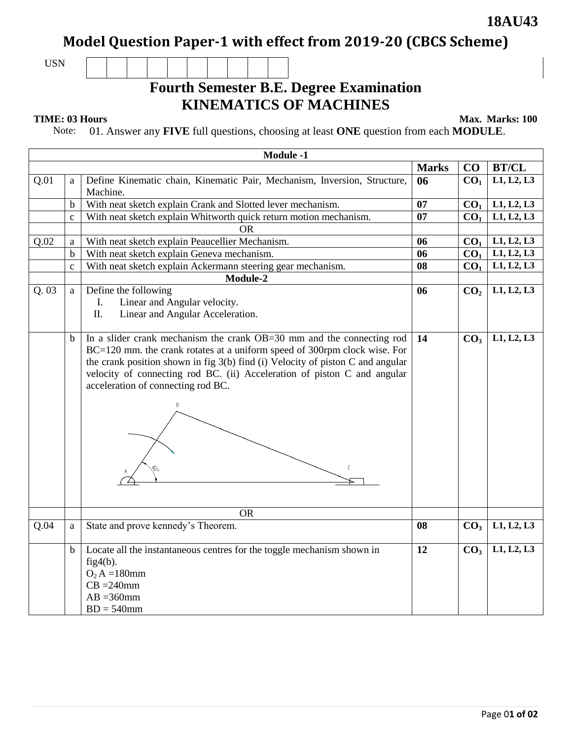### **Model Question Paper-1 with effect from 2019-20 (CBCS Scheme)**

USN

## **Fourth Semester B.E. Degree Examination KINEMATICS OF MACHINES**

**TIME: 03 Hours** Max. Marks: 100

Note: 01. Answer any **FIVE** full questions, choosing at least **ONE** question from each **MODULE**.

| <b>Module -1</b> |              |                                                                                                                                                                                                                                                                                                                                                               |              |                 |                          |  |  |
|------------------|--------------|---------------------------------------------------------------------------------------------------------------------------------------------------------------------------------------------------------------------------------------------------------------------------------------------------------------------------------------------------------------|--------------|-----------------|--------------------------|--|--|
|                  |              |                                                                                                                                                                                                                                                                                                                                                               | <b>Marks</b> | CO              | <b>BT/CL</b>             |  |  |
| Q.01             | a            | Define Kinematic chain, Kinematic Pair, Mechanism, Inversion, Structure,<br>Machine.                                                                                                                                                                                                                                                                          | 06           | CO <sub>1</sub> | L1, L2, L3               |  |  |
|                  | $\mathbf b$  | With neat sketch explain Crank and Slotted lever mechanism.                                                                                                                                                                                                                                                                                                   | 07           | CO <sub>1</sub> | L1, L2, L3               |  |  |
|                  | $\mathbf{c}$ | With neat sketch explain Whitworth quick return motion mechanism.                                                                                                                                                                                                                                                                                             | 07           | CO <sub>1</sub> | L1, L2, L3               |  |  |
|                  |              | <b>OR</b>                                                                                                                                                                                                                                                                                                                                                     |              |                 |                          |  |  |
| Q.02             | a            | With neat sketch explain Peaucellier Mechanism.                                                                                                                                                                                                                                                                                                               | 06           | CO <sub>1</sub> | L1, L2, L3               |  |  |
|                  | $\mathbf b$  | With neat sketch explain Geneva mechanism.                                                                                                                                                                                                                                                                                                                    | 06           | CO <sub>1</sub> | L1, L2, L3               |  |  |
|                  | $\mathbf c$  | With neat sketch explain Ackermann steering gear mechanism.                                                                                                                                                                                                                                                                                                   | 08           | CO <sub>1</sub> | $\overline{L1}$ , L2, L3 |  |  |
|                  |              | Module-2                                                                                                                                                                                                                                                                                                                                                      |              |                 |                          |  |  |
| Q.03             | a            | Define the following<br>Linear and Angular velocity.<br>Ι.<br>Π.<br>Linear and Angular Acceleration.                                                                                                                                                                                                                                                          | 06           | CO <sub>2</sub> | L1, L2, L3               |  |  |
|                  | b            | In a slider crank mechanism the crank OB=30 mm and the connecting rod<br>BC=120 mm. the crank rotates at a uniform speed of 300rpm clock wise. For<br>the crank position shown in fig $3(b)$ find (i) Velocity of piston C and angular<br>velocity of connecting rod BC. (ii) Acceleration of piston C and angular<br>acceleration of connecting rod BC.<br>C | 14           | CO <sub>3</sub> | L1, L2, L3               |  |  |
|                  |              | <b>OR</b>                                                                                                                                                                                                                                                                                                                                                     |              |                 |                          |  |  |
| Q.04             | a            | State and prove kennedy's Theorem.                                                                                                                                                                                                                                                                                                                            | 08           | CO <sub>3</sub> | L1, L2, L3               |  |  |
|                  | $\mathbf b$  | Locate all the instantaneous centres for the toggle mechanism shown in<br>fig4(b).<br>$O_2 A = 180$ mm<br>$CB = 240$ mm<br>$AB = 360$ mm<br>$BD = 540$ mm                                                                                                                                                                                                     | 12           | CO <sub>3</sub> | L1, L2, L3               |  |  |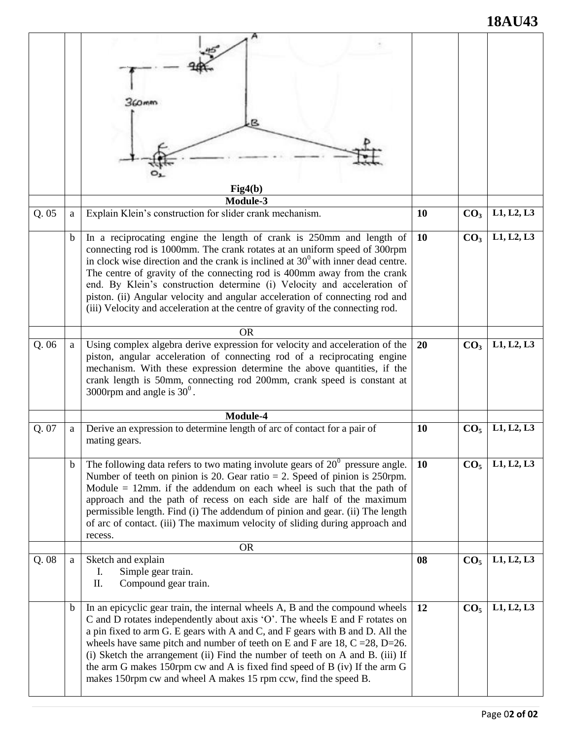# **18AU43**

|       |             | (CO mitt                                                                                                                                                                                                                                                                                                                                                                                                                                                                                                                                                                 |           |                 |            |
|-------|-------------|--------------------------------------------------------------------------------------------------------------------------------------------------------------------------------------------------------------------------------------------------------------------------------------------------------------------------------------------------------------------------------------------------------------------------------------------------------------------------------------------------------------------------------------------------------------------------|-----------|-----------------|------------|
|       |             | Fig4(b)                                                                                                                                                                                                                                                                                                                                                                                                                                                                                                                                                                  |           |                 |            |
|       |             | Module-3                                                                                                                                                                                                                                                                                                                                                                                                                                                                                                                                                                 |           |                 |            |
| Q.05  | a           | Explain Klein's construction for slider crank mechanism.                                                                                                                                                                                                                                                                                                                                                                                                                                                                                                                 | 10        | CO <sub>3</sub> | L1, L2, L3 |
|       | $\mathbf b$ | In a reciprocating engine the length of crank is 250mm and length of<br>connecting rod is 1000mm. The crank rotates at an uniform speed of 300rpm<br>in clock wise direction and the crank is inclined at $30^{\circ}$ with inner dead centre.<br>The centre of gravity of the connecting rod is 400mm away from the crank<br>end. By Klein's construction determine (i) Velocity and acceleration of<br>piston. (ii) Angular velocity and angular acceleration of connecting rod and<br>(iii) Velocity and acceleration at the centre of gravity of the connecting rod. | <b>10</b> | CO <sub>3</sub> | L1, L2, L3 |
|       |             | <b>OR</b>                                                                                                                                                                                                                                                                                                                                                                                                                                                                                                                                                                |           |                 |            |
| Q.06  | a           | Using complex algebra derive expression for velocity and acceleration of the<br>piston, angular acceleration of connecting rod of a reciprocating engine<br>mechanism. With these expression determine the above quantities, if the<br>crank length is 50mm, connecting rod 200mm, crank speed is constant at<br>3000rpm and angle is $30^{\circ}$ .                                                                                                                                                                                                                     | 20        | CO <sub>3</sub> | L1, L2, L3 |
|       |             | Module-4                                                                                                                                                                                                                                                                                                                                                                                                                                                                                                                                                                 |           |                 |            |
| Q. 07 | a           | Derive an expression to determine length of arc of contact for a pair of<br>mating gears.                                                                                                                                                                                                                                                                                                                                                                                                                                                                                | 10        | CO <sub>5</sub> | L1, L2, L3 |
|       | b           | The following data refers to two mating involute gears of $20^{\circ}$ pressure angle.<br>Number of teeth on pinion is 20. Gear ratio $= 2$ . Speed of pinion is 250rpm.<br>Module $= 12$ mm. if the addendum on each wheel is such that the path of<br>approach and the path of recess on each side are half of the maximum<br>permissible length. Find (i) The addendum of pinion and gear. (ii) The length<br>of arc of contact. (iii) The maximum velocity of sliding during approach and<br>recess.                                                                 | <b>10</b> | CO <sub>5</sub> | L1, L2, L3 |
|       |             | <b>OR</b>                                                                                                                                                                                                                                                                                                                                                                                                                                                                                                                                                                |           |                 |            |
| Q.08  | a           | Sketch and explain<br>Simple gear train.<br>I.<br>Π.<br>Compound gear train.                                                                                                                                                                                                                                                                                                                                                                                                                                                                                             | 08        | CO <sub>5</sub> | L1, L2, L3 |
|       | $\mathbf b$ | In an epicyclic gear train, the internal wheels A, B and the compound wheels<br>C and D rotates independently about axis 'O'. The wheels E and F rotates on<br>a pin fixed to arm G. E gears with A and C, and F gears with B and D. All the<br>wheels have same pitch and number of teeth on E and F are 18, $C = 28$ , $D = 26$ .<br>(i) Sketch the arrangement (ii) Find the number of teeth on A and B. (iii) If<br>the arm G makes 150rpm cw and A is fixed find speed of B (iv) If the arm G<br>makes 150rpm cw and wheel A makes 15 rpm ccw, find the speed B.    | 12        | CO <sub>5</sub> | L1, L2, L3 |